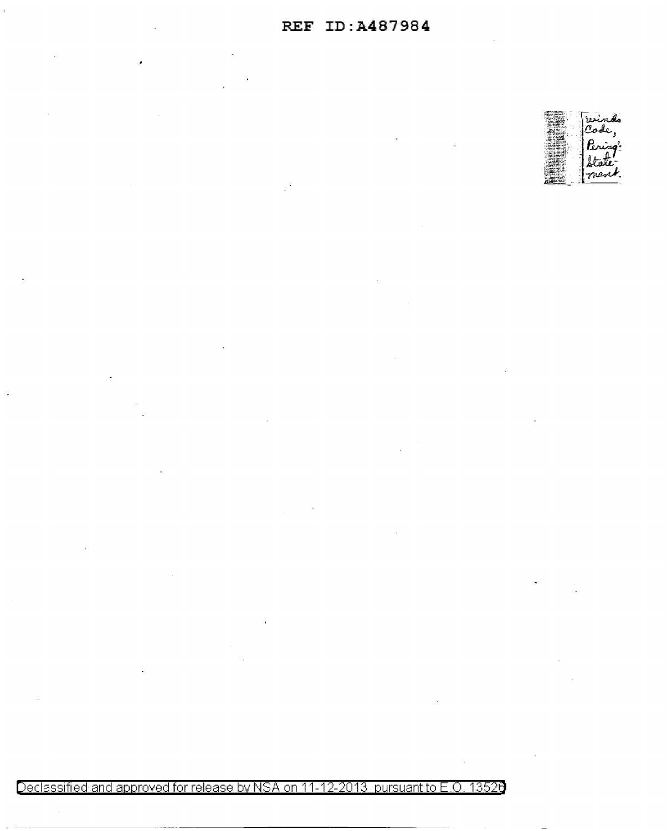

Declassified and approved for release by NSA on 11-12-2013 pursuant to E.O. 13526